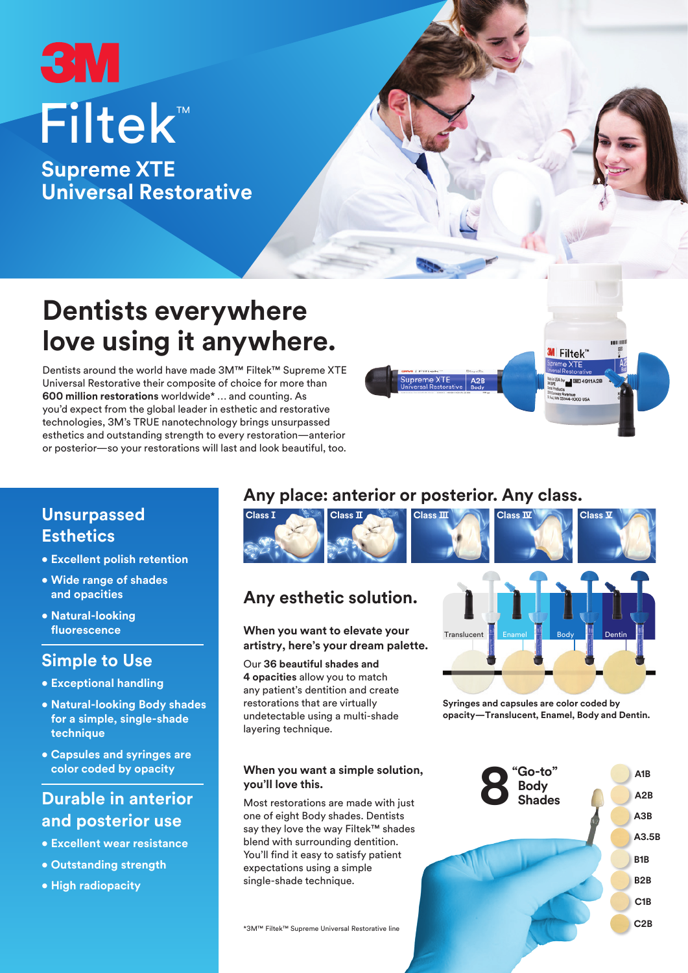# **3M** ™ Filtek

**Supreme XTE Universal Restorative**

## **Dentists everywhere love using it anywhere.**

Dentists around the world have made 3M™ Filtek™ Supreme XTE Universal Restorative their composite of choice for more than **600 million restorations** worldwide\* … and counting. As you'd expect from the global leader in esthetic and restorative technologies, 3M's TRUE nanotechnology brings unsurpassed esthetics and outstanding strength to every restoration—anterior or posterior—so your restorations will last and look beautiful, too.

## **Unsurpassed Esthetics**

- **Excellent polish retention**
- **Wide range of shades and opacities**
- **Natural-looking fluorescence**

### **Simple to Use**

- **Exceptional handling**
- **Natural-looking Body shades for a simple, single-shade technique**
- **Capsules and syringes are color coded by opacity**

## **Durable in anterior and posterior use**

- **Excellent wear resistance**
- **Outstanding strength**
- **High radiopacity**

## **Any place: anterior or posterior. Any class.**



## **Any esthetic solution.**

#### **When you want to elevate your artistry, here's your dream palette.**

Our **36 beautiful shades and 4 opacities** allow you to match any patient's dentition and create restorations that are virtually undetectable using a multi-shade layering technique.

## Transluce **Syringes and capsules are color coded by**

**M** Filtek"

**opacity—Translucent, Enamel, Body and Dentin.**

#### **When you want a simple solution, you'll love this.**

Most restorations are made with just one of eight Body shades. Dentists say they love the way Filtek™ shades blend with surrounding dentition. You'll find it easy to satisfy patient expectations using a simple single-shade technique.